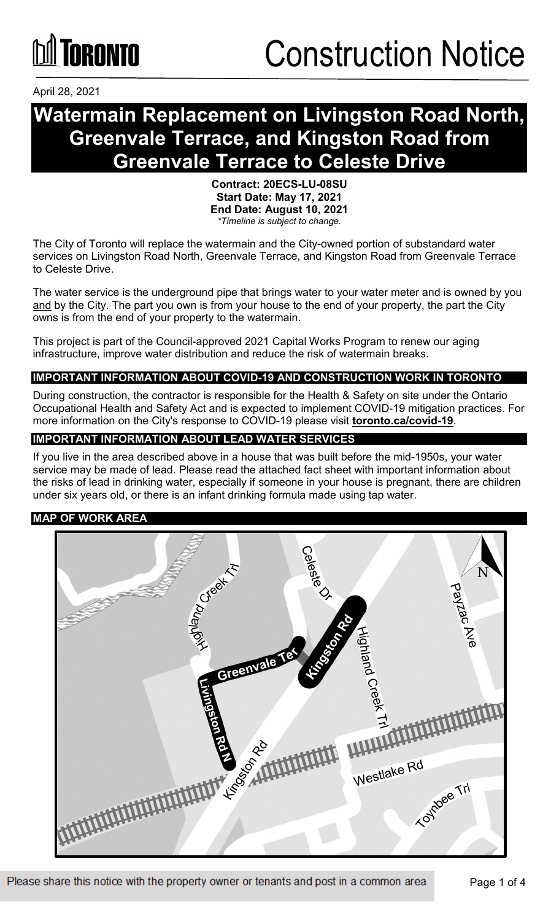

April 28, 2021

### **Watermain Replacement on Livingston Road North, Greenvale Terrace, and Kingston Road from Greenvale Terrace to Celeste Drive**

**Contract: 20ECS-LU-08SU Start Date: May 17, 2021 End Date: August 10, 2021** *\*Timeline is subject to change.*

The City of Toronto will replace the watermain and the City-owned portion of substandard water services on Livingston Road North, Greenvale Terrace, and Kingston Road from Greenvale Terrace to Celeste Drive.

The water service is the underground pipe that brings water to your water meter and is owned by you and by the City. The part you own is from your house to the end of your property, the part the City owns is from the end of your property to the watermain.

This project is part of the Council-approved 2021 Capital Works Program to renew our aging infrastructure, improve water distribution and reduce the risk of watermain breaks.

#### **IMPORTANT INFORMATION ABOUT COVID-19 AND CONSTRUCTION WORK IN TORONTO**

During construction, the contractor is responsible for the Health & Safety on site under the Ontario Occupational Health and Safety Act and is expected to implement COVID-19 mitigation practices. For more information on the City's response to COVID-19 please visit **[toronto.ca/covid-19](http://www.toronto.ca/covid-19)**.

#### **IMPORTANT INFORMATION ABOUT LEAD WATER SERVICES**

If you live in the area described above in a house that was built before the mid-1950s, your water service may be made of lead. Please read the attached fact sheet with important information about the risks of lead in drinking water, especially if someone in your house is pregnant, there are children under six years old, or there is an infant drinking formula made using tap water.

#### **MAP OF WORK AREA**

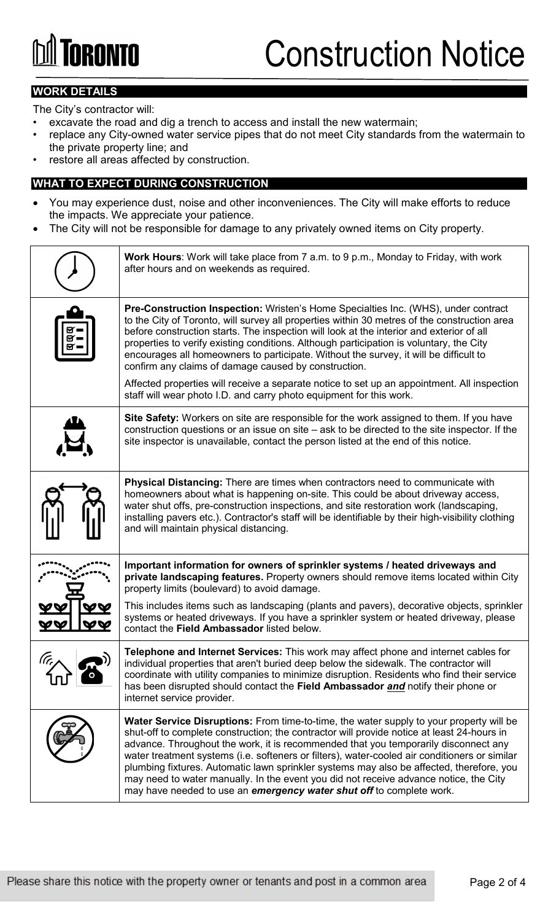# **GRANTA**

#### **WORK DETAILS**

The City's contractor will:

- excavate the road and dig a trench to access and install the new watermain;
- replace any City-owned water service pipes that do not meet City standards from the watermain to the private property line; and
- restore all areas affected by construction.

#### **WHAT TO EXPECT DURING CONSTRUCTION**

- You may experience dust, noise and other inconveniences. The City will make efforts to reduce the impacts. We appreciate your patience.
- The City will not be responsible for damage to any privately owned items on City property.

| <b>Work Hours:</b> Work will take place from 7 a.m. to 9 p.m., Monday to Friday, with work<br>after hours and on weekends as required.                                                                                                                                                                                                                                                                                                                                                                                                                                                                                                                   |
|----------------------------------------------------------------------------------------------------------------------------------------------------------------------------------------------------------------------------------------------------------------------------------------------------------------------------------------------------------------------------------------------------------------------------------------------------------------------------------------------------------------------------------------------------------------------------------------------------------------------------------------------------------|
| <b>Pre-Construction Inspection:</b> Wristen's Home Specialties Inc. (WHS), under contract<br>to the City of Toronto, will survey all properties within 30 metres of the construction area<br>before construction starts. The inspection will look at the interior and exterior of all<br>properties to verify existing conditions. Although participation is voluntary, the City<br>encourages all homeowners to participate. Without the survey, it will be difficult to<br>confirm any claims of damage caused by construction.                                                                                                                        |
| Affected properties will receive a separate notice to set up an appointment. All inspection<br>staff will wear photo I.D. and carry photo equipment for this work.                                                                                                                                                                                                                                                                                                                                                                                                                                                                                       |
| Site Safety: Workers on site are responsible for the work assigned to them. If you have<br>construction questions or an issue on site – ask to be directed to the site inspector. If the<br>site inspector is unavailable, contact the person listed at the end of this notice.                                                                                                                                                                                                                                                                                                                                                                          |
| Physical Distancing: There are times when contractors need to communicate with<br>homeowners about what is happening on-site. This could be about driveway access,<br>water shut offs, pre-construction inspections, and site restoration work (landscaping,<br>installing pavers etc.). Contractor's staff will be identifiable by their high-visibility clothing<br>and will maintain physical distancing.                                                                                                                                                                                                                                             |
| Important information for owners of sprinkler systems / heated driveways and<br>private landscaping features. Property owners should remove items located within City<br>property limits (boulevard) to avoid damage.                                                                                                                                                                                                                                                                                                                                                                                                                                    |
| This includes items such as landscaping (plants and pavers), decorative objects, sprinkler<br>systems or heated driveways. If you have a sprinkler system or heated driveway, please<br>contact the Field Ambassador listed below.                                                                                                                                                                                                                                                                                                                                                                                                                       |
| Telephone and Internet Services: This work may affect phone and internet cables for<br>individual properties that aren't buried deep below the sidewalk. The contractor will<br>coordinate with utility companies to minimize disruption. Residents who find their service<br>has been disrupted should contact the Field Ambassador and notify their phone or<br>internet service provider.                                                                                                                                                                                                                                                             |
| <b>Water Service Disruptions:</b> From time-to-time, the water supply to your property will be<br>shut-off to complete construction; the contractor will provide notice at least 24-hours in<br>advance. Throughout the work, it is recommended that you temporarily disconnect any<br>water treatment systems (i.e. softeners or filters), water-cooled air conditioners or similar<br>plumbing fixtures. Automatic lawn sprinkler systems may also be affected, therefore, you<br>may need to water manually. In the event you did not receive advance notice, the City<br>may have needed to use an <i>emergency water shut off</i> to complete work. |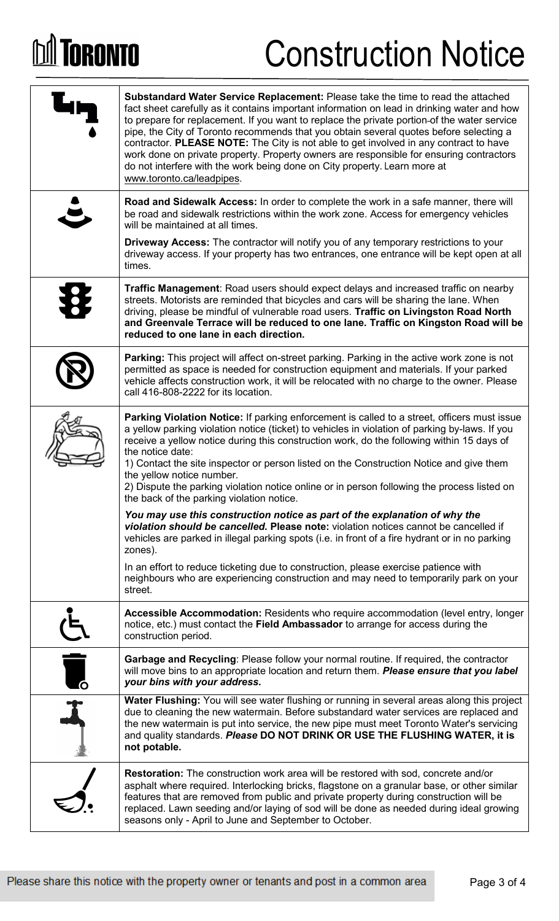## **DA TORONTO**

## Construction Notice

|                          | Substandard Water Service Replacement: Please take the time to read the attached<br>fact sheet carefully as it contains important information on lead in drinking water and how<br>to prepare for replacement. If you want to replace the private portion-of the water service<br>pipe, the City of Toronto recommends that you obtain several quotes before selecting a<br>contractor. PLEASE NOTE: The City is not able to get involved in any contract to have<br>work done on private property. Property owners are responsible for ensuring contractors<br>do not interfere with the work being done on City property. Learn more at<br>www.toronto.ca/leadpipes. |  |
|--------------------------|------------------------------------------------------------------------------------------------------------------------------------------------------------------------------------------------------------------------------------------------------------------------------------------------------------------------------------------------------------------------------------------------------------------------------------------------------------------------------------------------------------------------------------------------------------------------------------------------------------------------------------------------------------------------|--|
|                          | Road and Sidewalk Access: In order to complete the work in a safe manner, there will<br>be road and sidewalk restrictions within the work zone. Access for emergency vehicles<br>will be maintained at all times.                                                                                                                                                                                                                                                                                                                                                                                                                                                      |  |
|                          | Driveway Access: The contractor will notify you of any temporary restrictions to your<br>driveway access. If your property has two entrances, one entrance will be kept open at all<br>times.                                                                                                                                                                                                                                                                                                                                                                                                                                                                          |  |
|                          | Traffic Management: Road users should expect delays and increased traffic on nearby<br>streets. Motorists are reminded that bicycles and cars will be sharing the lane. When<br>driving, please be mindful of vulnerable road users. Traffic on Livingston Road North<br>and Greenvale Terrace will be reduced to one lane. Traffic on Kingston Road will be<br>reduced to one lane in each direction.                                                                                                                                                                                                                                                                 |  |
|                          | <b>Parking:</b> This project will affect on-street parking. Parking in the active work zone is not<br>permitted as space is needed for construction equipment and materials. If your parked<br>vehicle affects construction work, it will be relocated with no charge to the owner. Please<br>call 416-808-2222 for its location.                                                                                                                                                                                                                                                                                                                                      |  |
|                          | <b>Parking Violation Notice:</b> If parking enforcement is called to a street, officers must issue<br>a yellow parking violation notice (ticket) to vehicles in violation of parking by-laws. If you<br>receive a yellow notice during this construction work, do the following within 15 days of<br>the notice date:<br>1) Contact the site inspector or person listed on the Construction Notice and give them<br>the yellow notice number.<br>2) Dispute the parking violation notice online or in person following the process listed on<br>the back of the parking violation notice.                                                                              |  |
|                          | You may use this construction notice as part of the explanation of why the<br>violation should be cancelled. Please note: violation notices cannot be cancelled if<br>vehicles are parked in illegal parking spots (i.e. in front of a fire hydrant or in no parking<br>zones).                                                                                                                                                                                                                                                                                                                                                                                        |  |
|                          | In an effort to reduce ticketing due to construction, please exercise patience with<br>neighbours who are experiencing construction and may need to temporarily park on your<br>street.                                                                                                                                                                                                                                                                                                                                                                                                                                                                                |  |
|                          | Accessible Accommodation: Residents who require accommodation (level entry, longer<br>notice, etc.) must contact the Field Ambassador to arrange for access during the<br>construction period.                                                                                                                                                                                                                                                                                                                                                                                                                                                                         |  |
| $\overline{\phantom{a}}$ | Garbage and Recycling: Please follow your normal routine. If required, the contractor<br>will move bins to an appropriate location and return them. Please ensure that you label<br>your bins with your address.                                                                                                                                                                                                                                                                                                                                                                                                                                                       |  |
| $\frac{1}{2}$            | Water Flushing: You will see water flushing or running in several areas along this project<br>due to cleaning the new watermain. Before substandard water services are replaced and<br>the new watermain is put into service, the new pipe must meet Toronto Water's servicing<br>and quality standards. Please DO NOT DRINK OR USE THE FLUSHING WATER, it is<br>not potable.                                                                                                                                                                                                                                                                                          |  |
|                          | <b>Restoration:</b> The construction work area will be restored with sod, concrete and/or<br>asphalt where required. Interlocking bricks, flagstone on a granular base, or other similar<br>features that are removed from public and private property during construction will be<br>replaced. Lawn seeding and/or laying of sod will be done as needed during ideal growing<br>seasons only - April to June and September to October.                                                                                                                                                                                                                                |  |